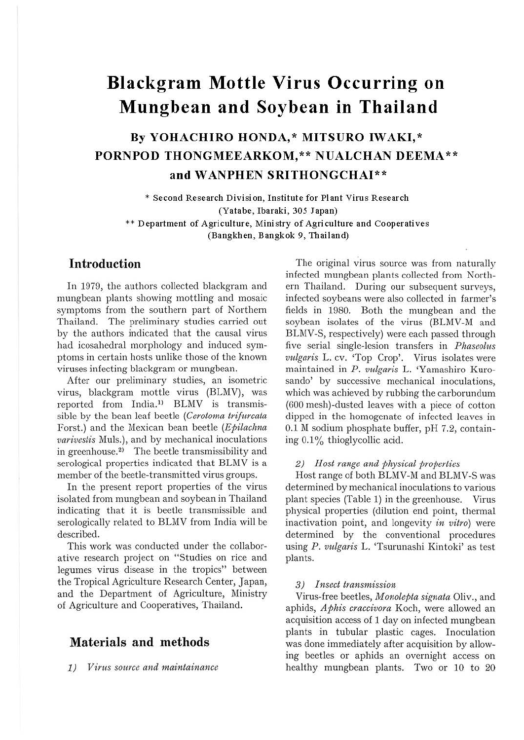# **Blackgram Mottle Virus Occurring on Mungbean and Soybean in Thailand**

## **By YOHACHIRO HONDA,\* MITSURO IWAKI,** \* **PORNPOD THONGMEEARKOM,\*\* NUALCHAN DEEMA\*\* and WANPHEN SRITHONGCHAI\*\***

\* **Second Research Division, Institute for Plant Virus Research (Yatabe, Ibaraki, 305 Japan)**  \*\* **Department of Agriculture, Ministry of Agriculture and Cooperatives (Bangkhen, Bangkok 9, Thailand)** 

## **Introduction**

In 1979, the authors collected blackgram and mungbean plants showing mottling and mosaic symptoms from the southern part of Northern Thailand. The preliminary studies carried out by the authors indicated that the causal virus had icosahedral morphology and induced symptoms in certain hosts unlike those of the known viruses infecting blackgram or mungbean.

After our preliminary studies, an isometric virus, blackgram mottle virus (BLMV), was reported from India.<sup>1)</sup> BLMV is transmissible by the bean leaf beetle *(Cerotoma trifitrcata*  Forst.) and the Mexican bean beetle *(Epilachna varivestis* Muls.), and by mechanical inoculations in greenhouse.<sup>2)</sup> The beetle transmissibility and serological properties indicated that BLMV is a member of the beetle-transmitted virus groups.

In the present report properties of the virus isolated from mungbean and soybean in Thailand indicating that it is beetle transmissible and serologically related to BLMV from India will be described.

This work was conducted under the collaborative research project on "Studies on rice and legumes virus disease in the tropics" between the Tropical Agriculture Research Center, Japan, and the Department of Agriculture, Ministry of Agriculture and Cooperatives, Thailand.

## **Materials and methods**

1) *Virus source and maintainance* 

The original virus source was from naturally infected mungbean plants collected from Northern Thailand. During our subsequent surveys, infected soybeans were also collected in farmer's fields in 1980. Both the mungbean and the soybean isolates of the virus (BLMV-M and BLMV-S, respectively) were each passed through five serial single-lesion transfers in *Pliaseolus vulgaris* L. cv. 'Top Crop'. Virus isolates were maintained in *P. vulgaris* L. 'Yamashiro Kurosando' by successive mechanical inoculations, which was achieved by rubbing the carborundum (600 mesh)-clusted leaves with a piece of cotton dipped in the homogenate of infected leaves in 0.1 M sodium phosphate buffer, pH 7.2, containing 0.1% thioglycollic acid.

#### 2) *Host range and physical properties*

Host range of both BLMV-M and BLMV-S was determined by mechanical inoculations to various plant species (Table 1) in the greenhouse. Virus physical properties (dilution end point, thermal inactivation point, and longevity *in vitro)* were determined by the conventional procedures using *P . vitlgaris* L. 'Tsurunashi Kintoki' as test plants.

#### 3) *Insect transmission*

Virus-free beetles, *Monolepta signata* Oliv., and aphids, *Aphis craccivora* Koch, were allowed an acquisition access of 1 day on infected mungbean plants in tubular plastic cages. Inoculation was done immediately after acquisition by allowing beetles or aphids an overnight access on healthy mungbean plants. Two or 10 to 20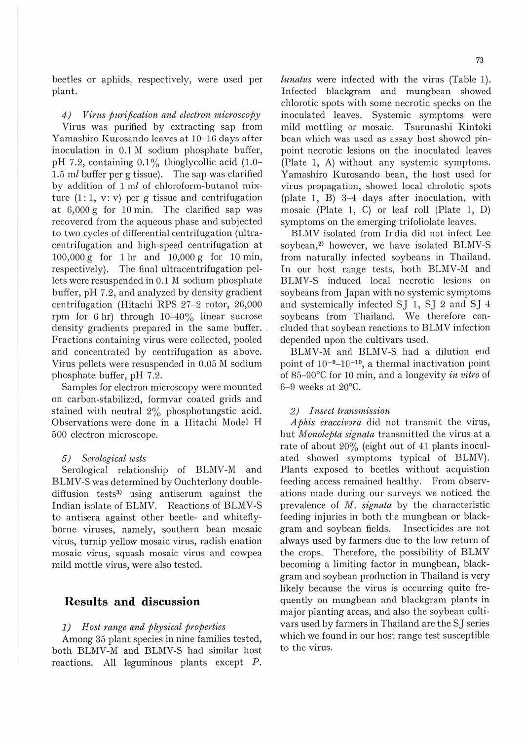beetles or aphids, respectively, were used per plant.

*4) Virus piwification and electron microscopy*  Virus was purified by extracting sap from Yamashiro Kurosando leaves at 10-16 days after inoculation in  $0.1\,\mathrm{M}$  sodium phosphate buffer, pH 7.2, containing  $0.1\%$  thioglycollic acid (1.0-1.5 *ml* buffer per g tissue). The sap was clarified by addition of 1 *ml* of chloroform-butanol mixture **(1:** 1, v: v) per g tissue and centrifugation at 6,000 g for 10 min. The clarified sap was recovered from the aqueous phase and subjected to two cycles of differential centrifugation (ultracentrifugation and high-speed centrifugation at 1.00,000 g for l hr and 10,000 g for 10 min, respectively). The final ultracentrifugation pellets were resuspended in 0.1 M sodium phosphate buffer, pH 7.2, and analyzed by density gradient centrifugation (Hitachi RPS 27-2 rotor, 26,000 rpm for 6 hr) through 10-40% linear sucrose density gradients prepared in the same buffer. Fractions containing virus were collected, pooled and concentrated by centrifugation as above. Virus pellets were resuspended in 0.05 M sodium phosphate buffer, pH 7.2.

Samples for electron microscopy were mounted on carbon-stabilized, formvar coated grids and stained with neutral 2% phosphotungstic acid. Observations were done in a Hitachi Model H 500 electron microscope.

#### *5) Serological tests*

Serological relationship of BLMV-M and BLMV-S was determined by Ouchterlony doublediffusion tests<sup>3</sup> using antiserum against the Indian isolate of BLMV. Reactions of BLMV-S to antisera against other beetle- and whiteflyborne viruses, namely, southern bean mosaic virus, turnip yellow mosaic virus, radish enation mosaic virus, squash mosaic virus and cowpea mild mottle virus, were also tested.

## **Results and discussion**

#### *1) Host range and physical properties*

Among 35 plant species in nine families tested, both BLMV-M and BLMV-S bad similar host reactions. All leguminous plants except *P.* 

*lunatus* were infected with the virus (Table 1). Infected blackgram and mungbean showed chlorotic spots with some necrotic specks on the inoculated leaves. Systemic symptoms were mild mottling or mosaic. Tsurunashi Kintoki bean which was used as assay host showed pinpoint necrotic lesions on the inoculated leaves (Plate 1, A) without any systemic symptoms. Yamashiro Kurosando bean, the host used for virus propagation, showed local chrolotic spots (plate 1, B)  $3-4$  days after inoculation, with mosaic (Plate 1, C) or leaf roll (Plate 1, D) symptoms on the emerging trifoliolate leaves.

BLMV isolated from India did not infect Lee soybean,<sup>2)</sup> however, we have isolated BLMV-S from naturally infected soybeans in Thailand. In our host range tests, both BLMV-M and BLMV-S induced local necrotic lesions on soybeans from Japan with no systemic symptoms and systemically infected SJ l, SJ 2 and SJ 4 soybeans from Thailand. We therefore concluded that soybean reactions to BLMV infection depended upon the cultivars used.

BLMV-M and BLMV-S had a dilution end point of  $10^{-9}$ -10<sup>-10</sup>, a thermal inactivation point of 85- 90°C for 10 min, and a longevity *in vitro* of  $6-9$  weeks at  $20^{\circ}$ C.

#### *2) Insect transmission*

*Aphis craccivora* did not transmit the virus, but *Monolepta signata* transmitted the virus at a rate of about 20% (eight out of 41 plants inoculated showed symptoms typical of BLMV). Plants exposed to beetles without acquistion feeding access remained healthy. From observations made during our surveys we noticed the prevalence of *M. signata* by the characteristic feeding injuries in both the mungbean or blackgram and soybean fields. Insecticides are not always used by farmers due to the low return of the crops. Therefore, the possibility of BLMV becoming a limiting factor in mungbean, blackgram and soybean production in Thailand is very likely because the virus is occurring quite frequently on mungbean and blackgram plants in major planting areas, and also the soybean cultivars used by farmers in Thailand are the SJ series which we found in our host range test susceptible to the virus.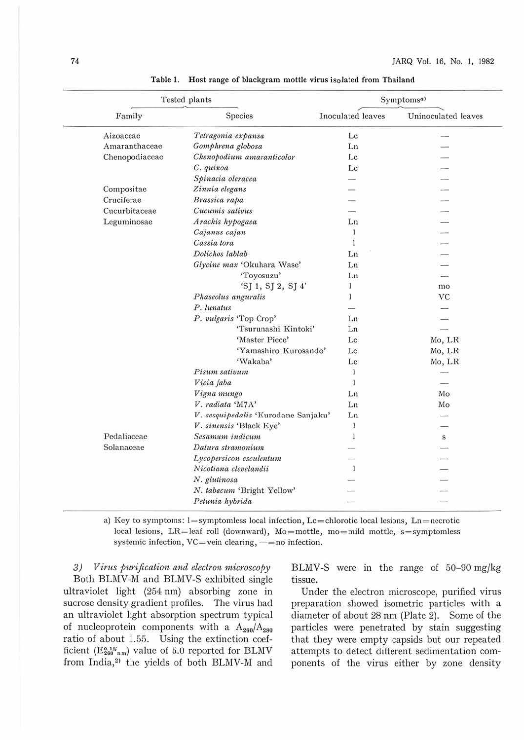| Tested plants  |                                     | Symptoms <sup>a)</sup> |                     |
|----------------|-------------------------------------|------------------------|---------------------|
| Family         | Species                             | Inoculated leaves      | Uninoculated leaves |
| Aizoaceae      | Tetragonia expansa                  | Lc                     |                     |
| Amaranthaceae  | Gomphrena globosa                   | Ln                     |                     |
| Chenopodiaceae | Chenopodium amaranticolor           | Lc                     |                     |
|                | C. quinoa                           | Lc                     |                     |
|                | Spinacia oleracea                   |                        |                     |
| Compositae     | Zinnia elegans                      |                        |                     |
| Cruciferae     | Brassica rapa                       |                        |                     |
| Cucurbitaceae  | Cucumis sativus                     |                        |                     |
| Leguminosae    | Arachis hypogaea                    | Ln                     |                     |
|                | Cajanus cajan                       | 1                      |                     |
|                | Cassia tora                         | 1                      |                     |
|                | Dolichos lablab                     | Ln                     |                     |
|                | Glycine max 'Okuhara Wase'          | Ln                     |                     |
|                | "Toyosuzu"                          | Lп                     |                     |
|                | 'SJ 1, SJ 2, SJ 4'                  | 1                      | mo                  |
|                | Phaseolus anguralis                 | 1                      | VC                  |
|                | P. lunatus                          |                        |                     |
|                | P. vulgaris 'Top Crop'              | Ln                     |                     |
|                | 'Tsurunashi Kintoki'                | Ln                     |                     |
|                | 'Master Piece'                      | Lc                     | Mo, LR              |
|                | 'Yamashiro Kurosando'               | Lc                     | Mo, LR              |
|                | 'Wakaba'                            | Lc                     | Mo, LR              |
|                | Pisum sativum                       | 1                      |                     |
|                | Vicia faba                          | 1                      |                     |
|                | Vigna mungo                         | Ln                     | Mo                  |
|                | V. radiata 'M7A'                    | Ln                     | Mo                  |
|                | V. sesquipedalis 'Kurodane Sanjaku' | Ln                     |                     |
|                | V. sinensis 'Black Eye'             | 1                      |                     |
| Pedaliaceae    | Sesamum indicum                     | 1                      | s                   |
| Solanaceae     | Datura stramonium                   |                        |                     |
|                | Lycopersicon esculentum             |                        |                     |
|                | Nicotiana clevelandii               | л                      |                     |
|                | N. glutinosa                        |                        |                     |
|                | N. tabacum 'Bright Yellow'          |                        |                     |
|                | Petunia hybrida                     |                        |                     |

Table 1. Host range of blackgram mottle virus isolated from Thailand

a) Key to symptoms:  $l =$ symptomless local infection, Lc=chlorotic local lesions, Ln=necrotic local lesions,  $LR =$  leaf roll (downward),  $Mo =$  mottle, mo = mild mottle, s = symptomless systemic infection, VC=vein clearing, -= no infection.

3) Virus purification and electron microscopy Both BLMV-M and BLMV-S exhibited single ultraviolet light (254 nm) absorbing zone in sucrose density gradient profiles. The virus had an ultraviolet light absorption spectrum typical of nucleoprotein components with a  $A_{260}/A_{280}$ ratio of about 1.55. Using the extinction coefficient ( $E_{260}^{0.1\%}$ <sub>nm</sub>) value of 5.0 reported for BLMV from India,<sup>2)</sup> the yields of both BLMV-M and

BLMV-S were in the range of 50-90 mg/kg tissue.

Under the electron microscope, purified virus preparation showed isometric particles with a diameter of about 28 nm (Plate 2). Some of the particles were penetrated by stain suggesting that they were empty capsids but our repeated attempts to detect different sedimentation components of the virus either by zone density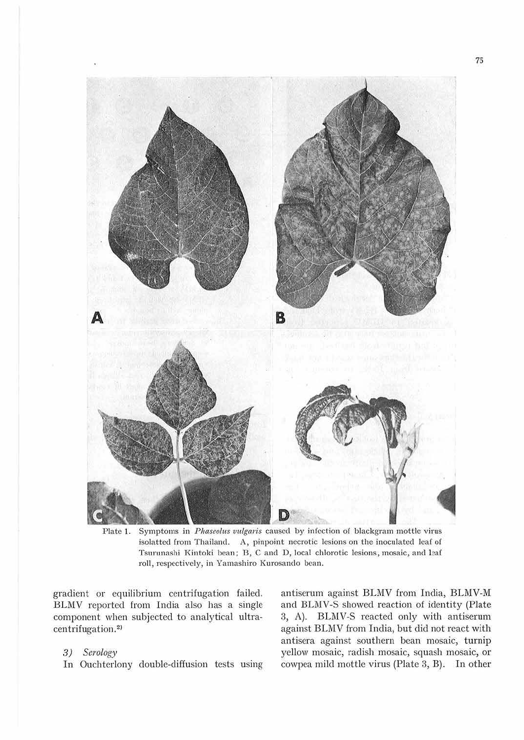

Plate 1. Symptoms in *Phaseolus vulgaris* caused by infection of blackgram mottle virus isolatted from Thailand. A, pinpoint necrotic lesions on the inoculated leaf of Tsurunashi Kintoki bean; B, C and D, local chlorotic lesions, mosaic, and leaf roll, respectively, in Yamashiro Kurosando bean.

gradient or equilibrium centrifugation failed. BLMV reported from India also has a single component when subjected to analytical ultracentrifugation.2>

## 3) Serology

In Ouchterlony double-diffusion tests using

antiserum against BLMV from India, BLMV-M and BLMV-S showed reaction of identity (Plate 3, A). BLMV-S reacted only with antiserum against BLMV from India, but did not react with antisera against southern bean mosaic, turnip yellow mosaic, radish mosaic, squash mosaic, or cowpca mild mottle virus (Plate 3, B). In other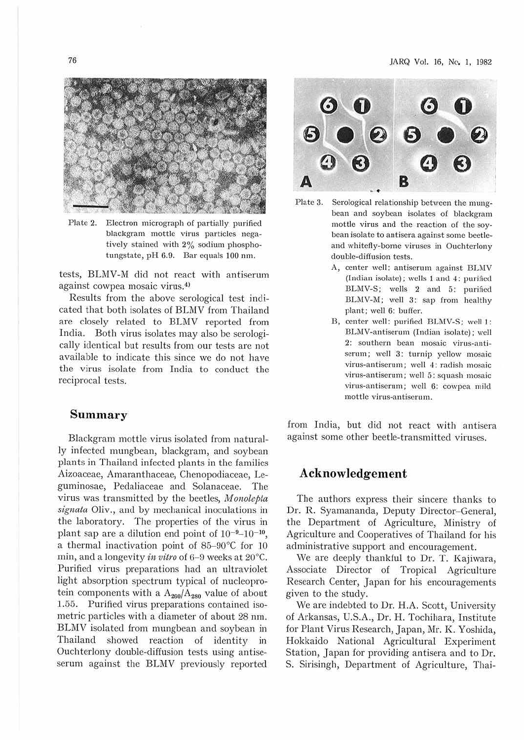

Plate 2. Electron micrograph of partially purified blackgram mottle virns particles negatively stained with 2% sodium phosphotungstatc, pH 6.0. Bar equals 100 nm.

tests, BLMV-M did not react with antiserum against cowpea mosaic virus.4>

Results from the above serological test indicated that both isolates of BLMV from Thailand are closely related to BLMV reported from India. Both virus isolates may also be serologically identical but results from our tests are not available to indicate this since we do not have the virus isolate from India to conduct the reciprocal tests.

### **Summary**

Blackgram mottle virus isolated from naturally infected mungbean, blackgram, and soybean plants in Thailand infected plants in the families Aizoaceae, Amaranthaceae, Chenopodiaceae, Leguminosae, Pedaliaceae and Solanaceae. The virus was transmitted by the beetles, *Monotepta signata Oliv.,* and by mechanical inoculations in the laboratory. The properties of the virus in plant sap are a dilution end point of  $10^{-9}$ - $10^{-10}$ , a thermal inactivation point of 85-90°C for 10 min, and a longevity *in vitro* of 6-9 weeks at 20°C. Purified virus preparations had an ultraviolet light absorption spectrum typical of nucleoprotein components with a  $A_{260}/A_{280}$  value of about 1.65. Purified virus preparations contained isometric particles with a diameter of about 28 nm. BLMV isolated from mungbean and soybean in Thailand showed reaction of identity in Ouchterlony double-diffusion tests using antiseserum against the BLMV previously reported



- bean and soybean isolates of blackgram mottle virus and the reaction of the soybean isolate to antiscra against some beetleand whitefly-borne viruses in Ouchterlony double-diffusion tests.
	- A, center well: antiserum against BLMV (Indian isolate); wells  $1$  and  $4$ : purified BLMV-S; wells 2 and 5: purified BLMV-M; well 3: sap from healthy plant; well 6: buffer.
	- B, center well: purified BLMV-S; well I: BLM V-antiserum (Indian isolate); well 2: southern bean mosaic virns-antiserum; well 3: turnip yellow mosaic virus-antiserum; well 4: radish mosaic virns-antiserum; well 5: squash mosaic virus-antiserum; well 6: cowpea mild mottle virus-antiserum.

from India, but did not react with antisera against some other beetle-transmitted viruses.

## **Acknowledgement**

The authors express their sincere thanks to Dr. R. Syamananda, Deputy Director-General, the Department of Agriculture, Ministry of Agriculture and Cooperatives of Thailand for his administrative support and encouragement.

We are deeply thankful to Dr. T. Kajiwara, .Associate Director of Tropical Agriculture Research Center, Japan for his encouragements given to the study.

We are indebted to Dr. H.A. Scott, University of Arkansas, U.S.A., Dr. H. Tochihara, Institute for Plant Virus Research, Japan, Mr. K. Yoshida, Hokkaido National Agricultural Experiment Station, Japan for providing antisera and to Dr. S. Sirisingh, Department of Agriculture, Thai